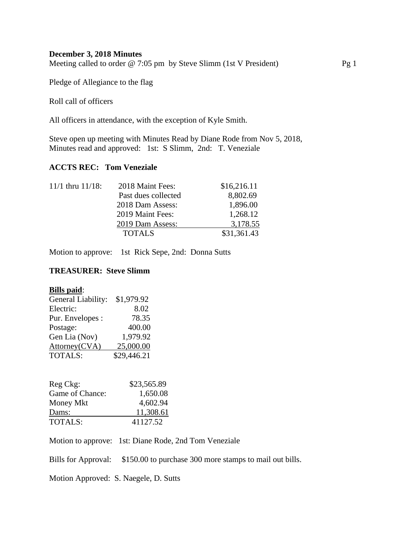## **December 3, 2018 Minutes**

Meeting called to order @ 7:05 pm by Steve Slimm (1st V President) Pg 1

Pledge of Allegiance to the flag

Roll call of officers

All officers in attendance, with the exception of Kyle Smith.

Steve open up meeting with Minutes Read by Diane Rode from Nov 5, 2018, Minutes read and approved: 1st: S Slimm, 2nd: T. Veneziale

# **ACCTS REC: Tom Veneziale**

| $11/1$ thru $11/18$ : | 2018 Maint Fees:    | \$16,216.11 |
|-----------------------|---------------------|-------------|
|                       | Past dues collected | 8,802.69    |
|                       | 2018 Dam Assess:    | 1,896.00    |
|                       | 2019 Maint Fees:    | 1,268.12    |
|                       | 2019 Dam Assess:    | 3,178.55    |
|                       | <b>TOTALS</b>       | \$31,361.43 |

Motion to approve: 1st Rick Sepe, 2nd: Donna Sutts

## **TREASURER: Steve Slimm**

### **Bills paid**:

| General Liability: | \$1,979.92  |
|--------------------|-------------|
| Electric:          | 8.02        |
| Pur. Envelopes :   | 78.35       |
| Postage:           | 400.00      |
| Gen Lia (Nov)      | 1,979.92    |
| Attorney(CVA)      | 25,000.00   |
| <b>TOTALS:</b>     | \$29,446.21 |

| Reg Ckg:        | \$23,565.89 |
|-----------------|-------------|
| Game of Chance: | 1,650.08    |
| Money Mkt       | 4,602.94    |
| Dams:           | 11,308.61   |
| <b>TOTALS:</b>  | 41127.52    |

Motion to approve: 1st: Diane Rode, 2nd Tom Veneziale

Bills for Approval: \$150.00 to purchase 300 more stamps to mail out bills.

Motion Approved: S. Naegele, D. Sutts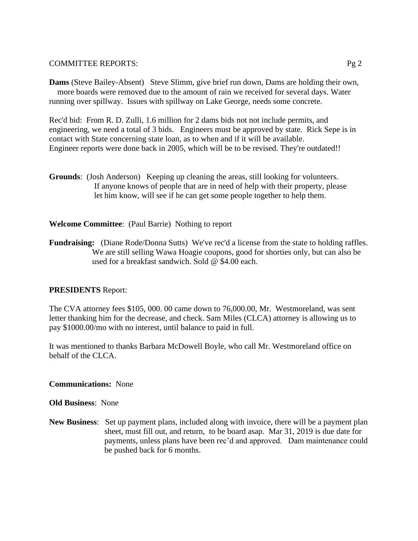### COMMITTEE REPORTS: Pg 2

**Dams** (Steve Bailey-Absent) Steve Slimm, give brief run down, Dams are holding their own, more boards were removed due to the amount of rain we received for several days. Water running over spillway. Issues with spillway on Lake George, needs some concrete.

Rec'd bid: From R. D. Zulli, 1.6 million for 2 dams bids not not include permits, and engineering, we need a total of 3 bids. Engineers must be approved by state. Rick Sepe is in contact with State concerning state loan, as to when and if it will be available. Engineer reports were done back in 2005, which will be to be revised. They're outdated!!

**Grounds**: (Josh Anderson) Keeping up cleaning the areas, still looking for volunteers. If anyone knows of people that are in need of help with their property, please let him know, will see if he can get some people together to help them.

# **Welcome Committee**: (Paul Barrie) Nothing to report

**Fundraising:** (Diane Rode/Donna Sutts) We've rec'd a license from the state to holding raffles. We are still selling Wawa Hoagie coupons, good for shorties only, but can also be used for a breakfast sandwich. Sold @ \$4.00 each.

# **PRESIDENTS** Report:

The CVA attorney fees \$105, 000. 00 came down to 76,000.00, Mr. Westmoreland, was sent letter thanking him for the decrease, and check. Sam Miles (CLCA) attorney is allowing us to pay \$1000.00/mo with no interest, until balance to paid in full.

It was mentioned to thanks Barbara McDowell Boyle, who call Mr. Westmoreland office on behalf of the CLCA.

### **Communications:** None

### **Old Business**: None

**New Business**: Set up payment plans, included along with invoice, there will be a payment plan sheet, must fill out, and return, to be board asap. Mar 31, 2019 is due date for payments, unless plans have been rec'd and approved. Dam maintenance could be pushed back for 6 months.